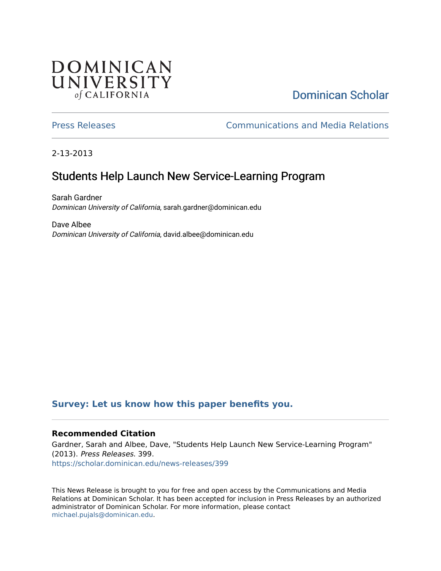# **DOMINICAN** UNIVERSITY of CALIFORNIA

# [Dominican Scholar](https://scholar.dominican.edu/)

[Press Releases](https://scholar.dominican.edu/news-releases) [Communications and Media Relations](https://scholar.dominican.edu/communications-media) 

2-13-2013

# Students Help Launch New Service-Learning Program

Sarah Gardner Dominican University of California, sarah.gardner@dominican.edu

Dave Albee Dominican University of California, david.albee@dominican.edu

#### **[Survey: Let us know how this paper benefits you.](https://dominican.libwizard.com/dominican-scholar-feedback)**

#### **Recommended Citation**

Gardner, Sarah and Albee, Dave, "Students Help Launch New Service-Learning Program" (2013). Press Releases. 399. [https://scholar.dominican.edu/news-releases/399](https://scholar.dominican.edu/news-releases/399?utm_source=scholar.dominican.edu%2Fnews-releases%2F399&utm_medium=PDF&utm_campaign=PDFCoverPages)

This News Release is brought to you for free and open access by the Communications and Media Relations at Dominican Scholar. It has been accepted for inclusion in Press Releases by an authorized administrator of Dominican Scholar. For more information, please contact [michael.pujals@dominican.edu.](mailto:michael.pujals@dominican.edu)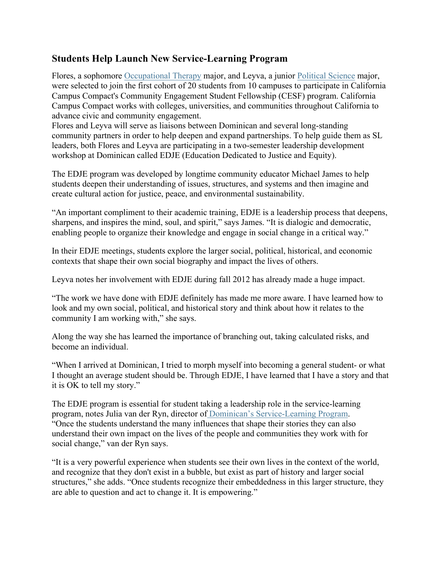### **Students Help Launch New Service-Learning Program**

Flores, a sophomore Occupational Therapy major, and Leyva, a junior Political Science major, were selected to join the first cohort of 20 students from 10 campuses to participate in California Campus Compact's Community Engagement Student Fellowship (CESF) program. California Campus Compact works with colleges, universities, and communities throughout California to advance civic and community engagement.

Flores and Leyva will serve as liaisons between Dominican and several long-standing community partners in order to help deepen and expand partnerships. To help guide them as SL leaders, both Flores and Leyva are participating in a two-semester leadership development workshop at Dominican called EDJE (Education Dedicated to Justice and Equity).

The EDJE program was developed by longtime community educator Michael James to help students deepen their understanding of issues, structures, and systems and then imagine and create cultural action for justice, peace, and environmental sustainability.

"An important compliment to their academic training, EDJE is a leadership process that deepens, sharpens, and inspires the mind, soul, and spirit," says James. "It is dialogic and democratic, enabling people to organize their knowledge and engage in social change in a critical way."

In their EDJE meetings, students explore the larger social, political, historical, and economic contexts that shape their own social biography and impact the lives of others.

Leyva notes her involvement with EDJE during fall 2012 has already made a huge impact.

"The work we have done with EDJE definitely has made me more aware. I have learned how to look and my own social, political, and historical story and think about how it relates to the community I am working with," she says.

Along the way she has learned the importance of branching out, taking calculated risks, and become an individual.

"When I arrived at Dominican, I tried to morph myself into becoming a general student- or what I thought an average student should be. Through EDJE, I have learned that I have a story and that it is OK to tell my story."

The EDJE program is essential for student taking a leadership role in the service-learning program, notes Julia van der Ryn, director of Dominican's Service-Learning Program. "Once the students understand the many influences that shape their stories they can also understand their own impact on the lives of the people and communities they work with for social change," van der Ryn says.

"It is a very powerful experience when students see their own lives in the context of the world, and recognize that they don't exist in a bubble, but exist as part of history and larger social structures," she adds. "Once students recognize their embeddedness in this larger structure, they are able to question and act to change it. It is empowering."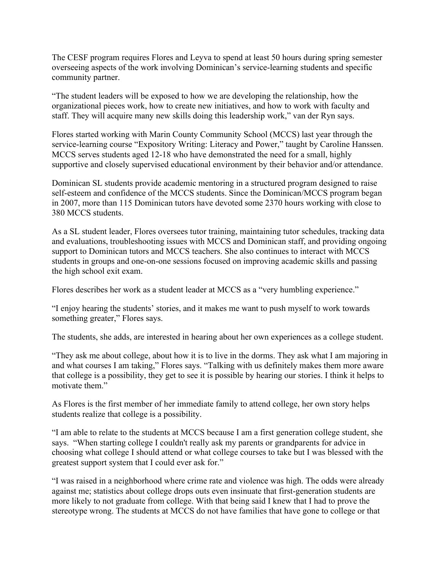The CESF program requires Flores and Leyva to spend at least 50 hours during spring semester overseeing aspects of the work involving Dominican's service-learning students and specific community partner.

"The student leaders will be exposed to how we are developing the relationship, how the organizational pieces work, how to create new initiatives, and how to work with faculty and staff. They will acquire many new skills doing this leadership work," van der Ryn says.

Flores started working with Marin County Community School (MCCS) last year through the service-learning course "Expository Writing: Literacy and Power," taught by Caroline Hanssen. MCCS serves students aged 12-18 who have demonstrated the need for a small, highly supportive and closely supervised educational environment by their behavior and/or attendance.

Dominican SL students provide academic mentoring in a structured program designed to raise self-esteem and confidence of the MCCS students. Since the Dominican/MCCS program began in 2007, more than 115 Dominican tutors have devoted some 2370 hours working with close to 380 MCCS students.

As a SL student leader, Flores oversees tutor training, maintaining tutor schedules, tracking data and evaluations, troubleshooting issues with MCCS and Dominican staff, and providing ongoing support to Dominican tutors and MCCS teachers. She also continues to interact with MCCS students in groups and one-on-one sessions focused on improving academic skills and passing the high school exit exam.

Flores describes her work as a student leader at MCCS as a "very humbling experience."

"I enjoy hearing the students' stories, and it makes me want to push myself to work towards something greater," Flores says.

The students, she adds, are interested in hearing about her own experiences as a college student.

"They ask me about college, about how it is to live in the dorms. They ask what I am majoring in and what courses I am taking," Flores says. "Talking with us definitely makes them more aware that college is a possibility, they get to see it is possible by hearing our stories. I think it helps to motivate them."

As Flores is the first member of her immediate family to attend college, her own story helps students realize that college is a possibility.

"I am able to relate to the students at MCCS because I am a first generation college student, she says. "When starting college I couldn't really ask my parents or grandparents for advice in choosing what college I should attend or what college courses to take but I was blessed with the greatest support system that I could ever ask for."

"I was raised in a neighborhood where crime rate and violence was high. The odds were already against me; statistics about college drops outs even insinuate that first-generation students are more likely to not graduate from college. With that being said I knew that I had to prove the stereotype wrong. The students at MCCS do not have families that have gone to college or that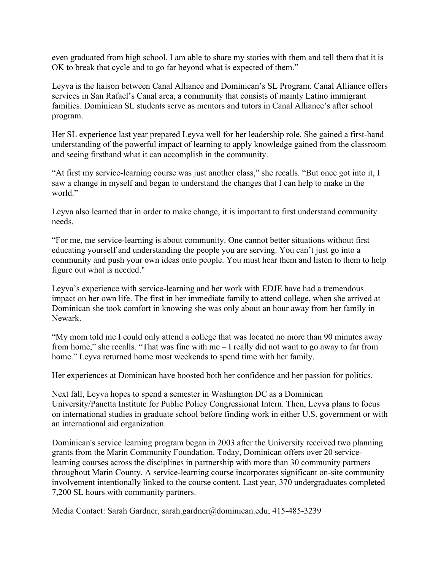even graduated from high school. I am able to share my stories with them and tell them that it is OK to break that cycle and to go far beyond what is expected of them."

Leyva is the liaison between Canal Alliance and Dominican's SL Program. Canal Alliance offers services in San Rafael's Canal area, a community that consists of mainly Latino immigrant families. Dominican SL students serve as mentors and tutors in Canal Alliance's after school program.

Her SL experience last year prepared Leyva well for her leadership role. She gained a first-hand understanding of the powerful impact of learning to apply knowledge gained from the classroom and seeing firsthand what it can accomplish in the community.

"At first my service-learning course was just another class," she recalls. "But once got into it, I saw a change in myself and began to understand the changes that I can help to make in the world<sup>"</sup>

Leyva also learned that in order to make change, it is important to first understand community needs.

"For me, me service-learning is about community. One cannot better situations without first educating yourself and understanding the people you are serving. You can't just go into a community and push your own ideas onto people. You must hear them and listen to them to help figure out what is needed."

Leyva's experience with service-learning and her work with EDJE have had a tremendous impact on her own life. The first in her immediate family to attend college, when she arrived at Dominican she took comfort in knowing she was only about an hour away from her family in Newark.

"My mom told me I could only attend a college that was located no more than 90 minutes away from home," she recalls. "That was fine with me – I really did not want to go away to far from home." Leyva returned home most weekends to spend time with her family.

Her experiences at Dominican have boosted both her confidence and her passion for politics.

Next fall, Leyva hopes to spend a semester in Washington DC as a Dominican University/Panetta Institute for Public Policy Congressional Intern. Then, Leyva plans to focus on international studies in graduate school before finding work in either U.S. government or with an international aid organization.

Dominican's service learning program began in 2003 after the University received two planning grants from the Marin Community Foundation. Today, Dominican offers over 20 servicelearning courses across the disciplines in partnership with more than 30 community partners throughout Marin County. A service-learning course incorporates significant on-site community involvement intentionally linked to the course content. Last year, 370 undergraduates completed 7,200 SL hours with community partners.

Media Contact: Sarah Gardner, sarah.gardner@dominican.edu; 415-485-3239